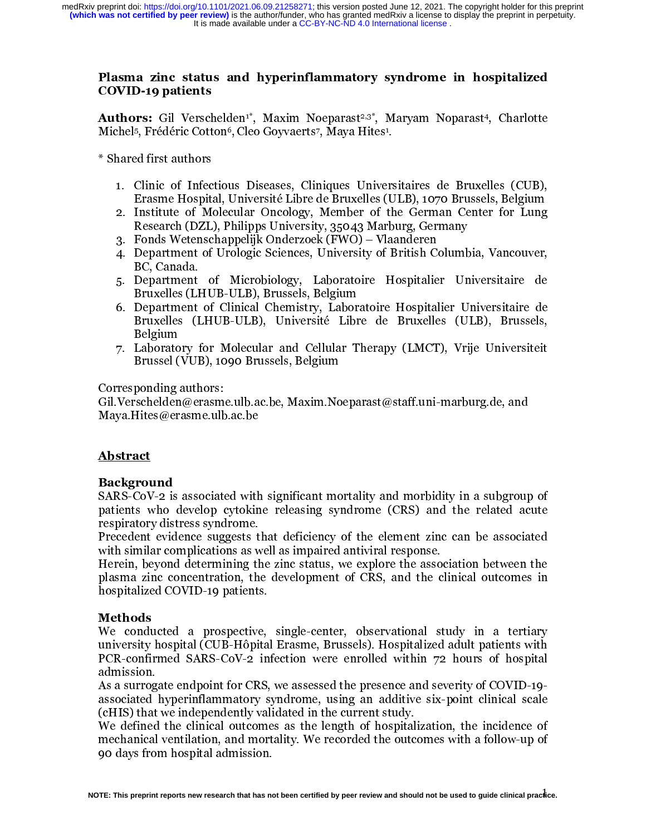#### Plasma zinc status and hyperinflammatory syndrome in hospitalized COVID-19 patients

Authors: Gil Verschelden<sup>1</sup>\*, Maxim Noeparast<sup>2,3\*</sup>, Maryam Noparast<sup>4</sup>, Charlotte Michel5, Frédéric Cotton6, Cleo Goyvaerts7, Maya Hites1.

\* Shared first authors

- 1. Clinic of Infectious Diseases, Cliniques Universitaires de Bruxelles (CUB), Erasme Hospital, Université Libre de Bruxelles (ULB), 1070 Brussels, Belgium
- 2. Institute of Molecular Oncology, Member of the German Center for Lung Research (DZL), Philipps University, 35043 Marburg, Germany
- 3. Fonds Wetenschappelijk Onderzoek (FWO) Vlaanderen
- 4. Department of Urologic Sciences, University of British Columbia, Vancouver, BC, Canada.
- 5. Department of Microbiology, Laboratoire Hospitalier Universitaire de Bruxelles (LHUB-ULB), Brussels, Belgium
- 6. Department of Clinical Chemistry, Laboratoire Hospitalier Universitaire de Bruxelles (LHUB-ULB), Université Libre de Bruxelles (ULB), Brussels, Belgium
- 7. Laboratory for Molecular and Cellular Therapy (LMCT), Vrije Universiteit Brussel (VUB), 1090 Brussels, Belgium

Corresponding authors:

Gil.Verschelden@erasme.ulb.ac.be, Maxim.Noeparast@staff.uni-marburg.de, and Maya.Hites@erasme.ulb.ac.be

#### Abstract

#### Background

SARS-CoV-2 is associated with significant mortality and morbidity in a subgroup of patients who develop cytokine releasing syndrome (CRS) and the related acute respiratory distress syndrome.

Precedent evidence suggests that deficiency of the element zinc can be associated with similar complications as well as impaired antiviral response.

Herein, beyond determining the zinc status, we explore the association between the plasma zinc concentration, the development of CRS, and the clinical outcomes in hospitalized COVID-19 patients.

#### Methods

We conducted a prospective, single-center, observational study in a tertiary university hospital (CUB-Hôpital Erasme, Brussels). Hospitalized adult patients with PCR-confirmed SARS-CoV-2 infection were enrolled within 72 hours of hospital admission.

As a surrogate endpoint for CRS, we assessed the presence and severity of COVID-19 associated hyperinflammatory syndrome, using an additive six-point clinical scale (cHIS) that we independently validated in the current study.

We defined the clinical outcomes as the length of hospitalization, the incidence of mechanical ventilation, and mortality. We recorded the outcomes with a follow-up of 90 days from hospital admission.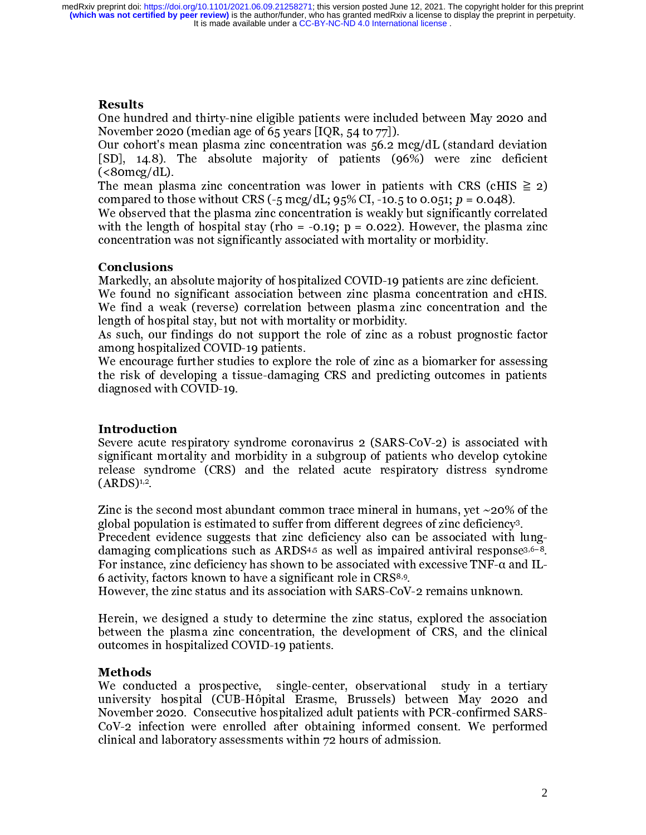## Results

One hundred and thirty-nine eligible patients were included between May 2020 and November 2020 (median age of 65 years [IQR, 54 to 77]).

Our cohort's mean plasma zinc concentration was 56.2 mcg/dL (standard deviation [SD], 14.8). The absolute majority of patients (96%) were zinc deficient  $(<$ 80mcg/dL).

The mean plasma zinc concentration was lower in patients with CRS (cHIS  $\geq 2$ ) compared to those without CRS ( $-5 \text{~mag/dL}$ ;  $95\%$  CI,  $-10.5$  to 0.051;  $p = 0.048$ ).

We observed that the plasma zinc concentration is weakly but significantly correlated with the length of hospital stay (rho = -0.19; p = 0.022). However, the plasma zinc concentration was not significantly associated with mortality or morbidity.

#### Conclusions

Markedly, an absolute majority of hospitalized COVID-19 patients are zinc deficient. We found no significant association between zinc plasma concentration and cHIS. We find a weak (reverse) correlation between plasma zinc concentration and the length of hospital stay, but not with mortality or morbidity.

As such, our findings do not support the role of zinc as a robust prognostic factor among hospitalized COVID-19 patients.

We encourage further studies to explore the role of zinc as a biomarker for assessing the risk of developing a tissue-damaging CRS and predicting outcomes in patients diagnosed with COVID-19.

#### Introduction

Severe acute respiratory syndrome coronavirus 2 (SARS-CoV-2) is associated with significant mortality and morbidity in a subgroup of patients who develop cytokine release syndrome (CRS) and the related acute respiratory distress syndrome  $(ARDS)<sup>1,2</sup>$ .

Zinc is the second most abundant common trace mineral in humans, yet  $\sim$ 20% of the global population is estimated to suffer from different degrees of zinc deficiency3.

Precedent evidence suggests that zinc deficiency also can be associated with lungdamaging complications such as ARDS<sup>4,5</sup> as well as impaired antiviral response<sup>3,6-8</sup>. For instance, zinc deficiency has shown to be associated with excessive TNF-α and IL-6 activity, factors known to have a significant role in CRS8,9.

However, the zinc status and its association with SARS-CoV-2 remains unknown.

Herein, we designed a study to determine the zinc status, explored the association between the plasma zinc concentration, the development of CRS, and the clinical outcomes in hospitalized COVID-19 patients.

#### Methods

We conducted a prospective, single-center, observational study in a tertiary university hospital (CUB-Hôpital Erasme, Brussels) between May 2020 and November 2020. Consecutive hospitalized adult patients with PCR-confirmed SARS-CoV-2 infection were enrolled after obtaining informed consent. We performed clinical and laboratory assessments within 72 hours of admission.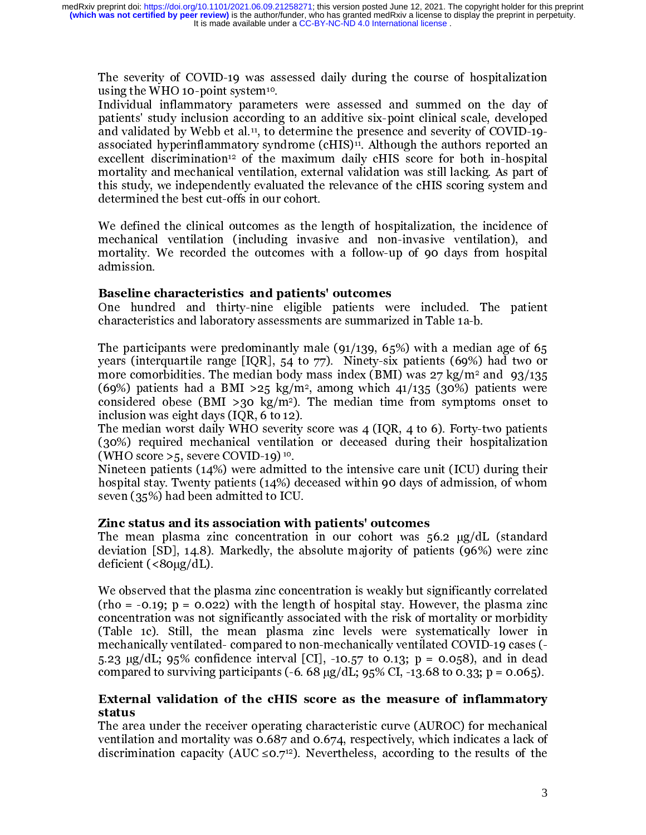The severity of COVID-19 was assessed daily during the course of hospitalization using the WHO 10-point system<sup>10</sup>.

Individual inflammatory parameters were assessed and summed on the day of patients' study inclusion according to an additive six-point clinical scale, developed and validated by Webb et al.11, to determine the presence and severity of COVID-19 associated hyperinflammatory syndrome (cHIS)<sup>11</sup>. Although the authors reported an excellent discrimination<sup>12</sup> of the maximum daily cHIS score for both in-hospital mortality and mechanical ventilation, external validation was still lacking. As part of this study, we independently evaluated the relevance of the cHIS scoring system and determined the best cut-offs in our cohort.

We defined the clinical outcomes as the length of hospitalization, the incidence of mechanical ventilation (including invasive and non-invasive ventilation), and mortality. We recorded the outcomes with a follow-up of 90 days from hospital admission.

#### Baseline characteristics and patients' outcomes

One hundred and thirty-nine eligible patients were included. The patient characteristics and laboratory assessments are summarized in Table 1a-b.

The participants were predominantly male (91/139, 65%) with a median age of 65 years (interquartile range [IQR], 54 to 77). Ninety-six patients (69%) had two or more comorbidities. The median body mass index (BMI) was  $27 \text{ kg/m}^2$  and  $93/135$ (69%) patients had a BMI >25 kg/m<sup>2</sup>, among which  $41/135$  (30%) patients were considered obese (BMI >30 kg/m<sup>2</sup>). The median time from symptoms onset to inclusion was eight days (IQR, 6 to 12).

The median worst daily WHO severity score was 4 (IQR, 4 to 6). Forty-two patients (30%) required mechanical ventilation or deceased during their hospitalization (WHO score  $>5$ , severe COVID-19)<sup>10</sup>.

Nineteen patients (14%) were admitted to the intensive care unit (ICU) during their hospital stay. Twenty patients (14%) deceased within 90 days of admission, of whom seven (35%) had been admitted to ICU.

#### Zinc status and its association with patients' outcomes

The mean plasma zinc concentration in our cohort was 56.2 µg/dL (standard deviation [SD], 14.8). Markedly, the absolute majority of patients (96%) were zinc deficient (<80µg/dL).

We observed that the plasma zinc concentration is weakly but significantly correlated  $(rho = -0.19; p = 0.022)$  with the length of hospital stay. However, the plasma zinc concentration was not significantly associated with the risk of mortality or morbidity (Table 1c). Still, the mean plasma zinc levels were systematically lower in mechanically ventilated- compared to non-mechanically ventilated COVID-19 cases (- 5.23 µg/dL; 95% confidence interval [CI], -10.57 to 0.13; p = 0.058), and in dead compared to surviving participants (-6. 68  $\mu$ g/dL; 95% CI, -13.68 to 0.33; p = 0.065).

## External validation of the cHIS score as the measure of inflammatory status

The area under the receiver operating characteristic curve (AUROC) for mechanical ventilation and mortality was 0.687 and 0.674, respectively, which indicates a lack of discrimination capacity (AUC  $\leq 0.7^{12}$ ). Nevertheless, according to the results of the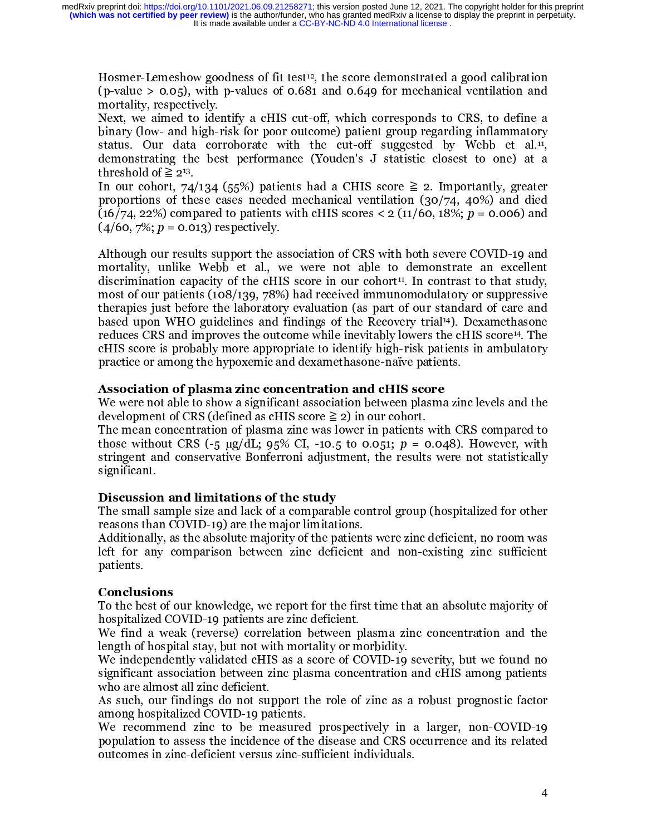Hosmer-Lemeshow goodness of fit test<sup>12</sup>, the score demonstrated a good calibration (p-value  $> 0.05$ ), with p-values of 0.681 and 0.649 for mechanical ventilation and mortality, respectively.

Next, we aimed to identify a cHIS cut-off, which corresponds to CRS, to define a binary (low- and high-risk for poor outcome) patient group regarding inflammatory status. Our data corroborate with the cut-off suggested by Webb et al.<sup>11</sup>, demonstrating the best performance (Youden's J statistic closest to one) at a threshold of  $\geq 2^{13}$ .

In our cohort, 74/134 (55%) patients had a CHIS score  $\geq 2$ . Importantly, greater proportions of these cases needed mechanical ventilation (30/74, 40%) and died (16/74, 22%) compared to patients with cHIS scores < 2 (11/60, 18%;  $p = 0.006$ ) and  $(4/60, 7\%; p = 0.013)$  respectively.

Although our results support the association of CRS with both severe COVID-19 and mortality, unlike Webb et al., we were not able to demonstrate an excellent discrimination capacity of the cHIS score in our cohort<sup>11</sup>. In contrast to that study, most of our patients (108/139, 78%) had received immunomodulatory or suppressive therapies just before the laboratory evaluation (as part of our standard of care and based upon WHO guidelines and findings of the Recovery trial14). Dexamethasone reduces CRS and improves the outcome while inevitably lowers the cHIS score14. The cHIS score is probably more appropriate to identify high-risk patients in ambulatory practice or among the hypoxemic and dexamethasone-naïve patients.

#### Association of plasma zinc concentration and cHIS score

We were not able to show a significant association between plasma zinc levels and the development of CRS (defined as cHIS score  $\geq 2$ ) in our cohort.

The mean concentration of plasma zinc was lower in patients with CRS compared to those without CRS  $(-5 \text{ µg/dL}; 95\% \text{ CI}, -10.5 \text{ to } 0.051; p = 0.048)$ . However, with stringent and conservative Bonferroni adjustment, the results were not statistically significant.

#### Discussion and limitations of the study

The small sample size and lack of a comparable control group (hospitalized for other reasons than COVID-19) are the major limitations.

Additionally, as the absolute majority of the patients were zinc deficient, no room was left for any comparison between zinc deficient and non-existing zinc sufficient patients.

#### Conclusions

To the best of our knowledge, we report for the first time that an absolute majority of hospitalized COVID-19 patients are zinc deficient.

We find a weak (reverse) correlation between plasma zinc concentration and the length of hospital stay, but not with mortality or morbidity.

We independently validated cHIS as a score of COVID-19 severity, but we found no significant association between zinc plasma concentration and cHIS among patients who are almost all zinc deficient.

As such, our findings do not support the role of zinc as a robust prognostic factor among hospitalized COVID-19 patients.

We recommend zinc to be measured prospectively in a larger, non-COVID-19 population to assess the incidence of the disease and CRS occurrence and its related outcomes in zinc-deficient versus zinc-sufficient individuals.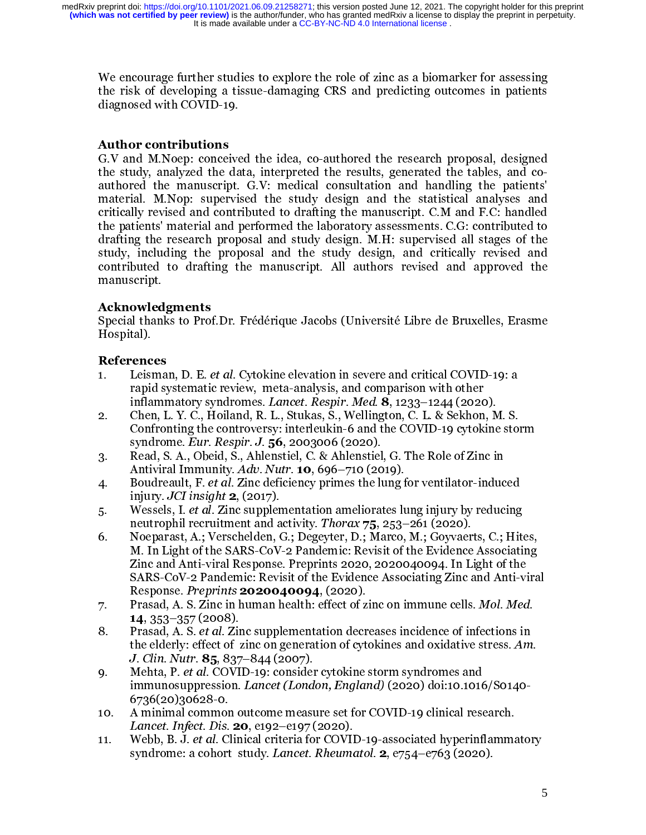We encourage further studies to explore the role of zinc as a biomarker for assessing the risk of developing a tissue-damaging CRS and predicting outcomes in patients diagnosed with COVID-19.

# Author contributions

G.V and M.Noep: conceived the idea, co-authored the research proposal, designed the study, analyzed the data, interpreted the results, generated the tables, and coauthored the manuscript. G.V: medical consultation and handling the patients' material. M.Nop: supervised the study design and the statistical analyses and critically revised and contributed to drafting the manuscript. C.M and F.C: handled the patients' material and performed the laboratory assessments. C.G: contributed to drafting the research proposal and study design. M.H: supervised all stages of the study, including the proposal and the study design, and critically revised and contributed to drafting the manuscript. All authors revised and approved the manuscript.

## Acknowledgments

Special thanks to Prof.Dr. Frédérique Jacobs (Université Libre de Bruxelles, Erasme Hospital).

## References

- 1. Leisman, D. E. et al. Cytokine elevation in severe and critical COVID-19: a rapid systematic review, meta-analysis, and comparison with other inflammatory syndromes. Lancet. Respir. Med. 8, 1233–1244 (2020).
- 2. Chen, L. Y. C., Hoiland, R. L., Stukas, S., Wellington, C. L. & Sekhon, M. S. Confronting the controversy: interleukin-6 and the COVID-19 cytokine storm syndrome. Eur. Respir. J. 56, 2003006 (2020).
- 3. Read, S. A., Obeid, S., Ahlenstiel, C. & Ahlenstiel, G. The Role of Zinc in Antiviral Immunity. Adv. Nutr. **10**, 696–710 (2019).
- 4. Boudreault, F. et al. Zinc deficiency primes the lung for ventilator-induced injury. JCI insight  $2$ , (2017).
- 5. Wessels, I. et al. Zinc supplementation ameliorates lung injury by reducing neutrophil recruitment and activity. Thorax 75, 253–261 (2020).
- 6. Noeparast, A.; Verschelden, G.; Degeyter, D.; Marco, M.; Goyvaerts, C.; Hites, M. In Light of the SARS-CoV-2 Pandemic: Revisit of the Evidence Associating Zinc and Anti-viral Response. Preprints 2020, 2020040094. In Light of the SARS-CoV-2 Pandemic: Revisit of the Evidence Associating Zinc and Anti-viral Response. *Preprints* **2020040094**, (2020).
- 7. Prasad, A. S. Zinc in human health: effect of zinc on immune cells. Mol. Med. 14, 353–357 (2008).
- 8. Prasad, A. S. et al. Zinc supplementation decreases incidence of infections in the elderly: effect of zinc on generation of cytokines and oxidative stress. Am. J. Clin. Nutr. 85, 837–844 (2007).
- 9. Mehta, P. et al. COVID-19: consider cytokine storm syndromes and immunosuppression. Lancet (London, England) (2020) doi:10.1016/S0140- 6736(20)30628-0.
- 10. A minimal common outcome measure set for COVID-19 clinical research. *Lancet. Infect. Dis.* **20**, e192–e197 (2020).
- 11. Webb, B. J. et al. Clinical criteria for COVID-19-associated hyperinflammatory syndrome: a cohort study. Lancet. Rheumatol. 2, e754-e763 (2020).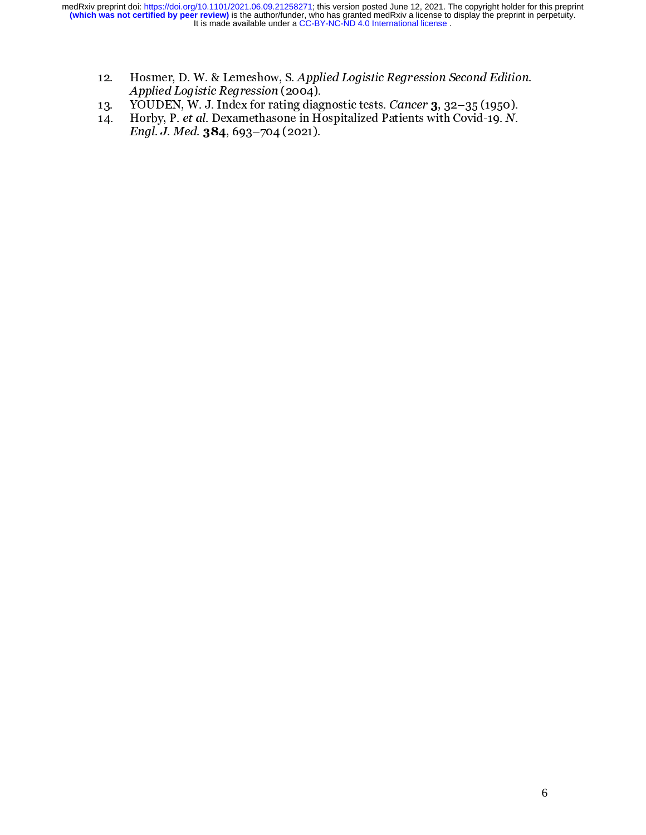- 12. Hosmer, D. W. & Lemeshow, S. Applied Logistic Regression Second Edition. Applied Logistic Regression (2004).
- 13. YOUDEN, W. J. Index for rating diagnostic tests. Cancer 3, 32–35 (1950).
- 14. Horby, P. et al. Dexamethasone in Hospitalized Patients with Covid-19. N. Engl. J. Med. 384, 693-704 (2021).